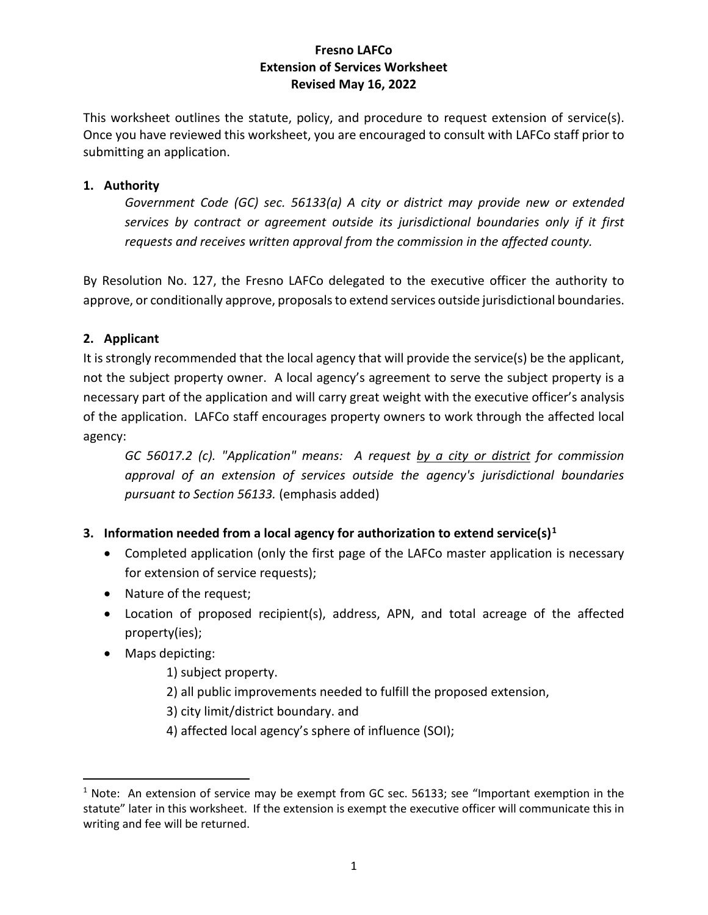# **Fresno LAFCo Extension of Services Worksheet Revised May 16, 2022**

This worksheet outlines the statute, policy, and procedure to request extension of service(s). Once you have reviewed this worksheet, you are encouraged to consult with LAFCo staff prior to submitting an application.

### **1. Authority**

*Government Code (GC) sec. 56133(a) A city or district may provide new or extended services by contract or agreement outside its jurisdictional boundaries only if it first requests and receives written approval from the commission in the affected county.*

By Resolution No. 127, the Fresno LAFCo delegated to the executive officer the authority to approve, or conditionally approve, proposals to extend services outside jurisdictional boundaries.

# **2. Applicant**

It is strongly recommended that the local agency that will provide the service(s) be the applicant, not the subject property owner. A local agency's agreement to serve the subject property is a necessary part of the application and will carry great weight with the executive officer's analysis of the application. LAFCo staff encourages property owners to work through the affected local agency:

*GC 56017.2 (c). "Application" means: A request by a city or district for commission approval of an extension of services outside the agency's jurisdictional boundaries pursuant to Section 56133.* (emphasis added)

# **3. Information needed from a local agency for authorization to extend service(s)[1](#page-0-0)**

- Completed application (only the first page of the LAFCo master application is necessary for extension of service requests);
- Nature of the request;
- Location of proposed recipient(s), address, APN, and total acreage of the affected property(ies);
- Maps depicting:
	- 1) subject property.
	- 2) all public improvements needed to fulfill the proposed extension,
	- 3) city limit/district boundary. and
	- 4) affected local agency's sphere of influence (SOI);

<span id="page-0-0"></span> $1$  Note: An extension of service may be exempt from GC sec. 56133; see "Important exemption in the statute" later in this worksheet. If the extension is exempt the executive officer will communicate this in writing and fee will be returned.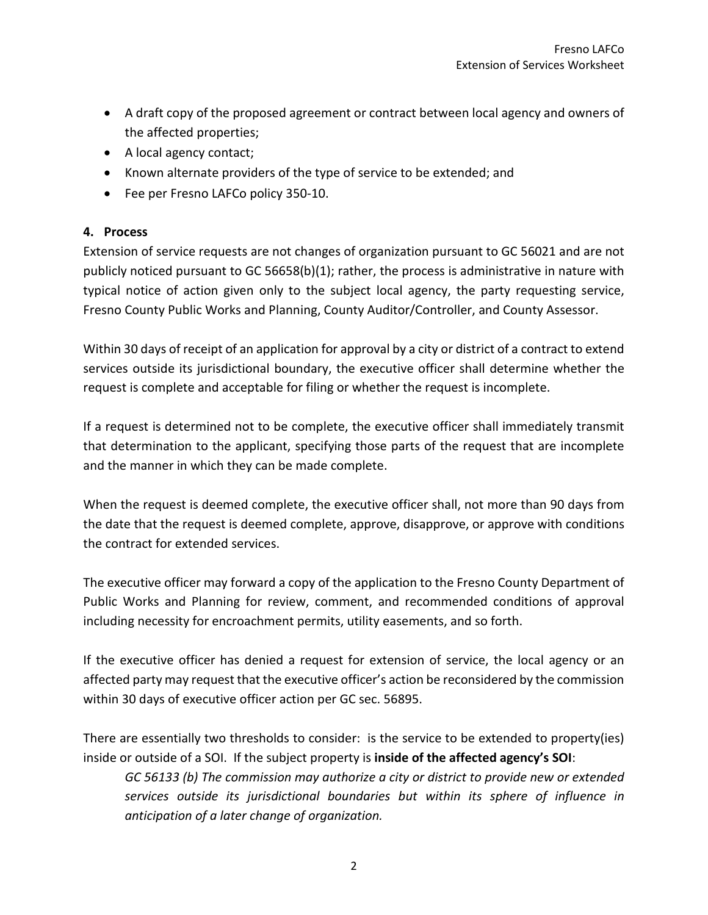- A draft copy of the proposed agreement or contract between local agency and owners of the affected properties;
- A local agency contact;
- Known alternate providers of the type of service to be extended; and
- Fee per Fresno LAFCo policy 350-10.

### **4. Process**

Extension of service requests are not changes of organization pursuant to GC 56021 and are not publicly noticed pursuant to GC 56658(b)(1); rather, the process is administrative in nature with typical notice of action given only to the subject local agency, the party requesting service, Fresno County Public Works and Planning, County Auditor/Controller, and County Assessor.

Within 30 days of receipt of an application for approval by a city or district of a contract to extend services outside its jurisdictional boundary, the executive officer shall determine whether the request is complete and acceptable for filing or whether the request is incomplete.

If a request is determined not to be complete, the executive officer shall immediately transmit that determination to the applicant, specifying those parts of the request that are incomplete and the manner in which they can be made complete.

When the request is deemed complete, the executive officer shall, not more than 90 days from the date that the request is deemed complete, approve, disapprove, or approve with conditions the contract for extended services.

The executive officer may forward a copy of the application to the Fresno County Department of Public Works and Planning for review, comment, and recommended conditions of approval including necessity for encroachment permits, utility easements, and so forth.

If the executive officer has denied a request for extension of service, the local agency or an affected party may request that the executive officer's action be reconsidered by the commission within 30 days of executive officer action per GC sec. 56895.

There are essentially two thresholds to consider: is the service to be extended to property(ies) inside or outside of a SOI. If the subject property is **inside of the affected agency's SOI**:

*GC 56133 (b) The commission may authorize a city or district to provide new or extended services outside its jurisdictional boundaries but within its sphere of influence in anticipation of a later change of organization.*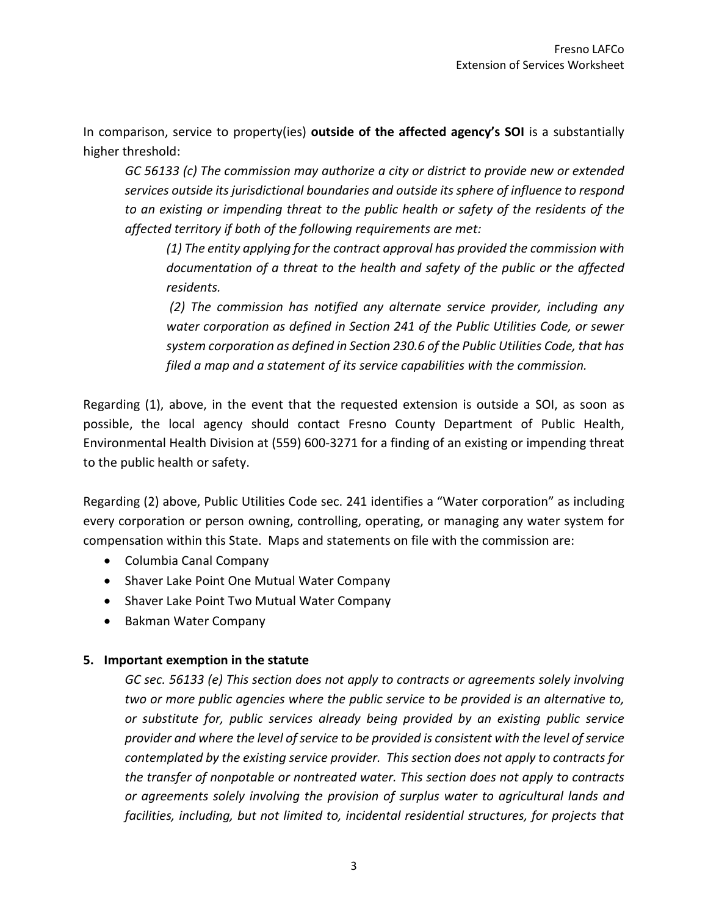In comparison, service to property(ies) **outside of the affected agency's SOI** is a substantially higher threshold:

*GC 56133 (c) The commission may authorize a city or district to provide new or extended services outside its jurisdictional boundaries and outside its sphere of influence to respond to an existing or impending threat to the public health or safety of the residents of the affected territory if both of the following requirements are met:*

*(1) The entity applying for the contract approval has provided the commission with documentation of a threat to the health and safety of the public or the affected residents.*

*(2) The commission has notified any alternate service provider, including any water corporation as defined in Section 241 of the Public Utilities Code, or sewer system corporation as defined in Section 230.6 of the Public Utilities Code, that has filed a map and a statement of its service capabilities with the commission.*

Regarding (1), above, in the event that the requested extension is outside a SOI, as soon as possible, the local agency should contact Fresno County Department of Public Health, Environmental Health Division at (559) 600-3271 for a finding of an existing or impending threat to the public health or safety.

Regarding (2) above, Public Utilities Code sec. 241 identifies a "Water corporation" as including every corporation or person owning, controlling, operating, or managing any water system for compensation within this State. Maps and statements on file with the commission are:

- Columbia Canal Company
- Shaver Lake Point One Mutual Water Company
- Shaver Lake Point Two Mutual Water Company
- Bakman Water Company

# **5. Important exemption in the statute**

*GC sec. 56133 (e) This section does not apply to contracts or agreements solely involving two or more public agencies where the public service to be provided is an alternative to, or substitute for, public services already being provided by an existing public service provider and where the level of service to be provided is consistent with the level of service contemplated by the existing service provider. This section does not apply to contracts for the transfer of nonpotable or nontreated water. This section does not apply to contracts or agreements solely involving the provision of surplus water to agricultural lands and facilities, including, but not limited to, incidental residential structures, for projects that*